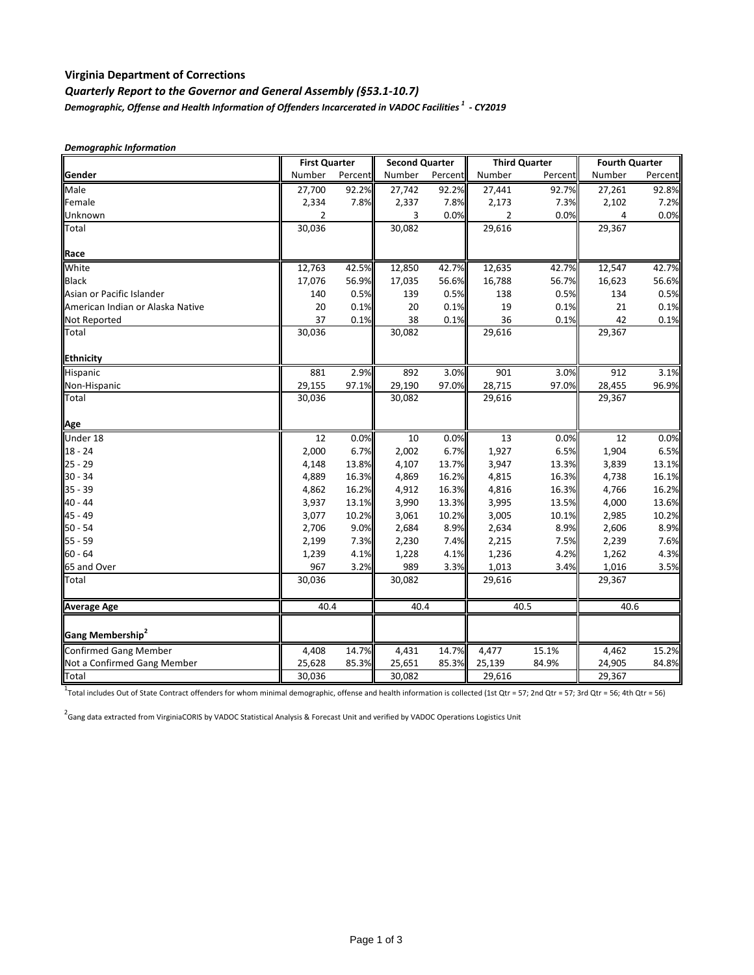## **Virginia Department of Corrections**

# *Quarterly Report to the Governor and General Assembly (§53.1-10.7) Demographic, Offense and Health Information of Offenders Incarcerated in VADOC Facilities 1 - CY2019*

|                                  | <b>First Quarter</b> |         | <b>Second Quarter</b> |         | <b>Third Quarter</b> |         | <b>Fourth Quarter</b> |         |
|----------------------------------|----------------------|---------|-----------------------|---------|----------------------|---------|-----------------------|---------|
| Gender                           | Number               | Percent | Number                | Percent | Number               | Percent | Number                | Percent |
| Male                             | 27,700               | 92.2%   | 27,742                | 92.2%   | 27,441               | 92.7%   | 27,261                | 92.8%   |
| Female                           | 2,334                | 7.8%    | 2,337                 | 7.8%    | 2,173                | 7.3%    | 2,102                 | 7.2%    |
| Unknown                          | $\overline{2}$       |         | 3                     | 0.0%    | $\overline{2}$       | 0.0%    | 4                     | 0.0%    |
| Total                            | 30,036               |         | 30,082                |         | 29,616               |         | 29,367                |         |
| Race                             |                      |         |                       |         |                      |         |                       |         |
| White                            | 12,763               | 42.5%   | 12,850                | 42.7%   | 12,635               | 42.7%   | 12,547                | 42.7%   |
| <b>Black</b>                     | 17,076               | 56.9%   | 17,035                | 56.6%   | 16,788               | 56.7%   | 16,623                | 56.6%   |
| Asian or Pacific Islander        | 140                  | 0.5%    | 139                   | 0.5%    | 138                  | 0.5%    | 134                   | 0.5%    |
| American Indian or Alaska Native | 20                   | 0.1%    | 20                    | 0.1%    | 19                   | 0.1%    | 21                    | 0.1%    |
| <b>Not Reported</b>              | 37                   | 0.1%    | 38                    | 0.1%    | 36                   | 0.1%    | 42                    | 0.1%    |
| Total                            | 30,036               |         | 30,082                |         | 29,616               |         | 29,367                |         |
| Ethnicity                        |                      |         |                       |         |                      |         |                       |         |
| Hispanic                         | 881                  | 2.9%    | 892                   | 3.0%    | 901                  | 3.0%    | 912                   | 3.1%    |
| Non-Hispanic                     | 29,155               | 97.1%   | 29,190                | 97.0%   | 28,715               | 97.0%   | 28,455                | 96.9%   |
| Total                            | 30,036               |         | 30,082                |         | 29,616               |         | 29,367                |         |
| Age                              |                      |         |                       |         |                      |         |                       |         |
| Under 18                         | 12                   | 0.0%    | 10                    | 0.0%    | 13                   | 0.0%    | 12                    | 0.0%    |
| $18 - 24$                        | 2,000                | 6.7%    | 2,002                 | 6.7%    | 1,927                | 6.5%    | 1,904                 | 6.5%    |
| $25 - 29$                        | 4,148                | 13.8%   | 4,107                 | 13.7%   | 3,947                | 13.3%   | 3,839                 | 13.1%   |
| $30 - 34$                        | 4,889                | 16.3%   | 4,869                 | 16.2%   | 4,815                | 16.3%   | 4,738                 | 16.1%   |
| $35 - 39$                        | 4,862                | 16.2%   | 4,912                 | 16.3%   | 4,816                | 16.3%   | 4,766                 | 16.2%   |
| 40 - 44                          | 3,937                | 13.1%   | 3,990                 | 13.3%   | 3,995                | 13.5%   | 4,000                 | 13.6%   |
| 45 - 49                          | 3,077                | 10.2%   | 3,061                 | 10.2%   | 3,005                | 10.1%   | 2,985                 | 10.2%   |
| 50 - 54                          | 2,706                | 9.0%    | 2,684                 | 8.9%    | 2,634                | 8.9%    | 2,606                 | 8.9%    |
| $55 - 59$                        | 2,199                | 7.3%    | 2,230                 | 7.4%    | 2,215                | 7.5%    | 2,239                 | 7.6%    |
| $60 - 64$                        | 1,239                | 4.1%    | 1,228                 | 4.1%    | 1,236                | 4.2%    | 1,262                 | 4.3%    |
| 65 and Over                      | 967                  | 3.2%    | 989                   | 3.3%    | 1,013                | 3.4%    | 1,016                 | 3.5%    |
| Total                            | 30,036               |         | 30,082                |         | 29,616               |         | 29,367                |         |
| <b>Average Age</b>               | 40.4                 |         | 40.4                  |         | 40.5                 |         | 40.6                  |         |
| Gang Membership <sup>2</sup>     |                      |         |                       |         |                      |         |                       |         |
| Confirmed Gang Member            | 4,408                | 14.7%   | 4,431                 | 14.7%   | 4,477                | 15.1%   | 4,462                 | 15.2%   |
| Not a Confirmed Gang Member      | 25,628               | 85.3%   | 25,651                | 85.3%   | 25,139               | 84.9%   | 24,905                | 84.8%   |
| Total                            | 30,036               |         | 30,082                |         | 29,616               |         | 29,367                |         |
|                                  |                      |         |                       |         |                      |         |                       |         |

1<br>Total includes Out of State Contract offenders for whom minimal demographic, offense and health information is collected (1st Qtr = 57; 2nd Qtr = 57; 3rd Qtr = 56; 4th Qtr = 56)

<sup>2</sup> Gang data extracted from VirginiaCORIS by VADOC Statistical Analysis & Forecast Unit and verified by VADOC Operations Logistics Unit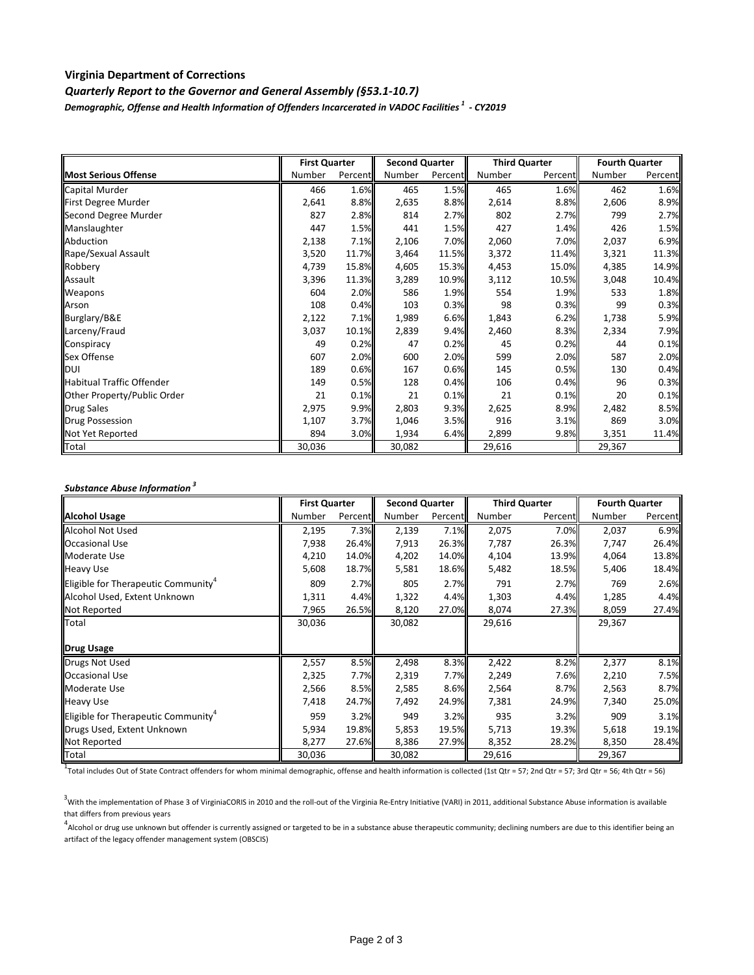## **Virginia Department of Corrections**

*Quarterly Report to the Governor and General Assembly (§53.1-10.7)*

*Demographic, Offense and Health Information of Offenders Incarcerated in VADOC Facilities 1 - CY2019*

|                                  | <b>First Quarter</b> |         | <b>Second Quarter</b> |         | <b>Third Quarter</b> |         | <b>Fourth Quarter</b> |         |
|----------------------------------|----------------------|---------|-----------------------|---------|----------------------|---------|-----------------------|---------|
| <b>Most Serious Offense</b>      | Number               | Percent | Number                | Percent | Number               | Percent | Number                | Percent |
| Capital Murder                   | 466                  | 1.6%    | 465                   | 1.5%    | 465                  | 1.6%    | 462                   | 1.6%    |
| First Degree Murder              | 2,641                | 8.8%    | 2,635                 | 8.8%    | 2,614                | 8.8%    | 2,606                 | 8.9%    |
| Second Degree Murder             | 827                  | 2.8%    | 814                   | 2.7%    | 802                  | 2.7%    | 799                   | 2.7%    |
| Manslaughter                     | 447                  | 1.5%    | 441                   | 1.5%    | 427                  | 1.4%    | 426                   | 1.5%    |
| Abduction                        | 2,138                | 7.1%    | 2,106                 | 7.0%    | 2,060                | 7.0%    | 2,037                 | 6.9%    |
| Rape/Sexual Assault              | 3,520                | 11.7%   | 3,464                 | 11.5%   | 3,372                | 11.4%   | 3,321                 | 11.3%   |
| Robbery                          | 4,739                | 15.8%   | 4,605                 | 15.3%   | 4,453                | 15.0%   | 4,385                 | 14.9%   |
| Assault                          | 3,396                | 11.3%   | 3,289                 | 10.9%   | 3,112                | 10.5%   | 3,048                 | 10.4%   |
| Weapons                          | 604                  | 2.0%    | 586                   | 1.9%    | 554                  | 1.9%    | 533                   | 1.8%    |
| Arson                            | 108                  | 0.4%    | 103                   | 0.3%    | 98                   | 0.3%    | 99                    | 0.3%    |
| Burglary/B&E                     | 2,122                | 7.1%    | 1,989                 | 6.6%    | 1,843                | 6.2%    | 1,738                 | 5.9%    |
| Larceny/Fraud                    | 3,037                | 10.1%   | 2,839                 | 9.4%    | 2,460                | 8.3%    | 2,334                 | 7.9%    |
| Conspiracy                       | 49                   | 0.2%    | 47                    | 0.2%    | 45                   | 0.2%    | 44                    | 0.1%    |
| Sex Offense                      | 607                  | 2.0%    | 600                   | 2.0%    | 599                  | 2.0%    | 587                   | 2.0%    |
| DUI                              | 189                  | 0.6%    | 167                   | 0.6%    | 145                  | 0.5%    | 130                   | 0.4%    |
| <b>Habitual Traffic Offender</b> | 149                  | 0.5%    | 128                   | 0.4%    | 106                  | 0.4%    | 96                    | 0.3%    |
| Other Property/Public Order      | 21                   | 0.1%    | 21                    | 0.1%    | 21                   | 0.1%    | 20                    | 0.1%    |
| <b>Drug Sales</b>                | 2,975                | 9.9%    | 2,803                 | 9.3%    | 2,625                | 8.9%    | 2,482                 | 8.5%    |
| <b>Drug Possession</b>           | 1,107                | 3.7%    | 1,046                 | 3.5%    | 916                  | 3.1%    | 869                   | 3.0%    |
| Not Yet Reported                 | 894                  | 3.0%    | 1,934                 | 6.4%    | 2,899                | 9.8%    | 3,351                 | 11.4%   |
| Total                            | 30,036               |         | 30,082                |         | 29,616               |         | 29,367                |         |

### *Substance Abuse Information <sup>3</sup>*

|                                                 | <b>First Quarter</b> |         | <b>Second Quarter</b> |         | <b>Third Quarter</b> |         | <b>Fourth Quarter</b> |         |
|-------------------------------------------------|----------------------|---------|-----------------------|---------|----------------------|---------|-----------------------|---------|
| <b>Alcohol Usage</b>                            | Number               | Percent | Number                | Percent | Number               | Percent | Number                | Percent |
| <b>Alcohol Not Used</b>                         | 2,195                | 7.3%    | 2,139                 | 7.1%    | 2,075                | 7.0%    | 2,037                 | 6.9%    |
| <b>Occasional Use</b>                           | 7,938                | 26.4%   | 7,913                 | 26.3%   | 7,787                | 26.3%   | 7,747                 | 26.4%   |
| Moderate Use                                    | 4,210                | 14.0%   | 4,202                 | 14.0%   | 4,104                | 13.9%   | 4,064                 | 13.8%   |
| <b>Heavy Use</b>                                | 5,608                | 18.7%   | 5,581                 | 18.6%   | 5,482                | 18.5%   | 5,406                 | 18.4%   |
| Eligible for Therapeutic Community <sup>*</sup> | 809                  | 2.7%    | 805                   | 2.7%    | 791                  | 2.7%    | 769                   | 2.6%    |
| Alcohol Used, Extent Unknown                    | 1,311                | 4.4%    | 1,322                 | 4.4%    | 1,303                | 4.4%    | 1,285                 | 4.4%    |
| Not Reported                                    | 7,965                | 26.5%   | 8,120                 | 27.0%   | 8,074                | 27.3%   | 8,059                 | 27.4%   |
| Total                                           | 30,036               |         | 30,082                |         | 29,616               |         | 29,367                |         |
|                                                 |                      |         |                       |         |                      |         |                       |         |
| <b>Drug Usage</b>                               |                      |         |                       |         |                      |         |                       |         |
| Drugs Not Used                                  | 2,557                | 8.5%    | 2,498                 | 8.3%    | 2,422                | 8.2%    | 2,377                 | 8.1%    |
| <b>Occasional Use</b>                           | 2,325                | 7.7%    | 2,319                 | 7.7%    | 2,249                | 7.6%    | 2,210                 | 7.5%    |
| Moderate Use                                    | 2,566                | 8.5%    | 2,585                 | 8.6%    | 2,564                | 8.7%    | 2,563                 | 8.7%    |
| <b>Heavy Use</b>                                | 7,418                | 24.7%   | 7,492                 | 24.9%   | 7,381                | 24.9%   | 7,340                 | 25.0%   |
| Eligible for Therapeutic Community <sup>4</sup> | 959                  | 3.2%    | 949                   | 3.2%    | 935                  | 3.2%    | 909                   | 3.1%    |
| Drugs Used, Extent Unknown                      | 5,934                | 19.8%   | 5,853                 | 19.5%   | 5,713                | 19.3%   | 5,618                 | 19.1%   |
| Not Reported                                    | 8,277                | 27.6%   | 8,386                 | 27.9%   | 8,352                | 28.2%   | 8,350                 | 28.4%   |
| Total                                           | 30,036               |         | 30,082                |         | 29,616               |         | 29,367                |         |

 $1$ Total includes Out of State Contract offenders for whom minimal demographic, offense and health information is collected (1st Qtr = 57; 2nd Qtr = 57; 3rd Qtr = 56; 4th Qtr = 56)

<sup>3</sup>With the implementation of Phase 3 of VirginiaCORIS in 2010 and the roll-out of the Virginia Re-Entry Initiative (VARI) in 2011, additional Substance Abuse information is available that differs from previous years

<sup>4</sup> Alcohol or drug use unknown but offender is currently assigned or targeted to be in a substance abuse therapeutic community; declining numbers are due to this identifier being an artifact of the legacy offender management system (OBSCIS)